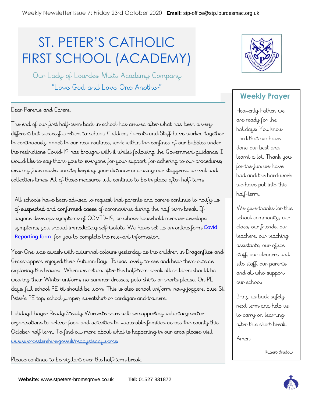## ST. PETER'S CATHOLIC FIRST SCHOOL (ACADEMY)

Our Lady of Lourdes Multi-Academy Company "Love God and Love One Another"

## Dear Parents and Carers.

The end of our first half-term back in school has arrived after what has been a very different but successful return to school. Children, Parents and Staff have worked together to continuously adapt to our new routines, work within the confines of our bubbles under the restrictions Covid-19 has brought with it whilst following the Government guidance. I would like to say thank you to everyone for your support, for adhering to our procedures, wearing face masks on site, keeping your distance and using our staggered arrival and collection times. All of these measures will continue to be in place after half-term.

All schools have been advised to request that parents and carers continue to notify us of suspected and confirmed cases of coronavirus during the half term break. If anyone develops symptoms of COVID-19, or whose household member develops symptoms, you should immediately self-isolate. We have set up an online form Covid [Reporting form](https://forms.office.com/Pages/ResponsePage.aspx?id=MKcd5G15b0SG85FNYTIvOMZ9YmN3D-JNi6ULCxJrW8hURTM2RzQyQlFOQUVGWjZKMTdFNldOWjdTVi4u) for you to complete the relevant information.

Year One was awash with autumnal colours yesterday as the children in Dragonflies and Grasshoppers enjoyed their Autumn Day. It was lovely to see and hear them outside exploring the leaves. When we return after the half-term break all children should be wearing their Winter uniform, no summer dresses, polo shirts or shorts please. On PE days, full school PE kit should be worn. This is also school uniform, navy joggers, blue St. Peter's PE top, school jumper, sweatshirt or cardigan and trainers.

Holiday Hunger Ready Steady Worcestershire will be supporting voluntary sector organisations to deliver food and activities to vulnerable families across the county this October half term. To find out more about what is happening in our area please visit www.worcestershire.gov.uk/readysteadyworcs

Please continue to be vigilant over the half-term break.



## **Weekly Prayer**

Heavenly Father, we are ready for the holidays. You know Lord that we have done our best and learnt a lot. Thank you for the fun we have had and the hard work we have put into this half-term.

We give thanks for this school community, our class, our friends, our teachers, our teaching assistants, our office staff, our cleaners and site staff, our parents and all who support our school.

Bring us back safely next term and help us to carry on learning after this short break.

Amer

Rupert Bristow